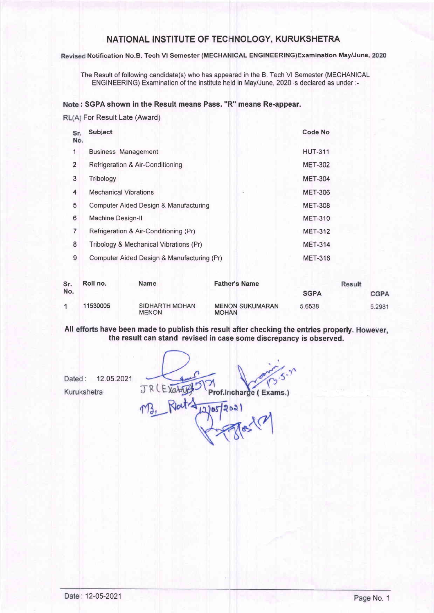# NATIONAL INSTITUTE OF TECHNOLOGY, KURUKSHETRA

Revised Notification No.B. Tech VI Semester (MECHANICAL ENGINEERING)Examination May/June, 2020

The Result of following candidate(s) who has appeared in the B. Tech Vl Semester (MECHANICAL ENGINEERING) Examination of the institute held in May/June, 2020 is declared as under :-

### Note: SGPA shown in the Result means Pass. "R" means Re-appear.

RL(A) For Result Late (Award)

| Sr.<br>No.     | <b>Subject</b>                             | <b>Code No</b> |
|----------------|--------------------------------------------|----------------|
| 1              | <b>Business Management</b>                 | <b>HUT-311</b> |
| $\overline{2}$ | Refrigeration & Air-Conditioning           | <b>MET-302</b> |
| 3              | Tribology                                  | <b>MET-304</b> |
| 4              | <b>Mechanical Vibrations</b>               | <b>MET-306</b> |
| 5              | Computer Aided Design & Manufacturing      | <b>MET-308</b> |
| 6              | Machine Design-II                          | <b>MET-310</b> |
| 7              | Refrigeration & Air-Conditioning (Pr)      | <b>MET-312</b> |
| 8              | Tribology & Mechanical Vibrations (Pr)     | <b>MET-314</b> |
| 9              | Computer Aided Design & Manufacturing (Pr) | <b>MET-316</b> |
|                |                                            |                |

| Sr. | Roll no. | <b>Name</b>                    | <b>Father's Name</b>                   | Result      |        |
|-----|----------|--------------------------------|----------------------------------------|-------------|--------|
| No. |          |                                |                                        | <b>SGPA</b> | CGPA   |
|     | 11530005 | SIDHARTH MOHAN<br><b>MENON</b> | <b>MENON SUKUMARAN</b><br><b>MOHAN</b> | 5.6538      | 5.2981 |

All efforts have been made to publish this result after checking the entries properly. However, the result can stand revised in case some discrepancy is observed.

Dated: 12.05.2021 JR (EXat Prof.Incharge (Exams.) Kurukshetra 2)05/2021